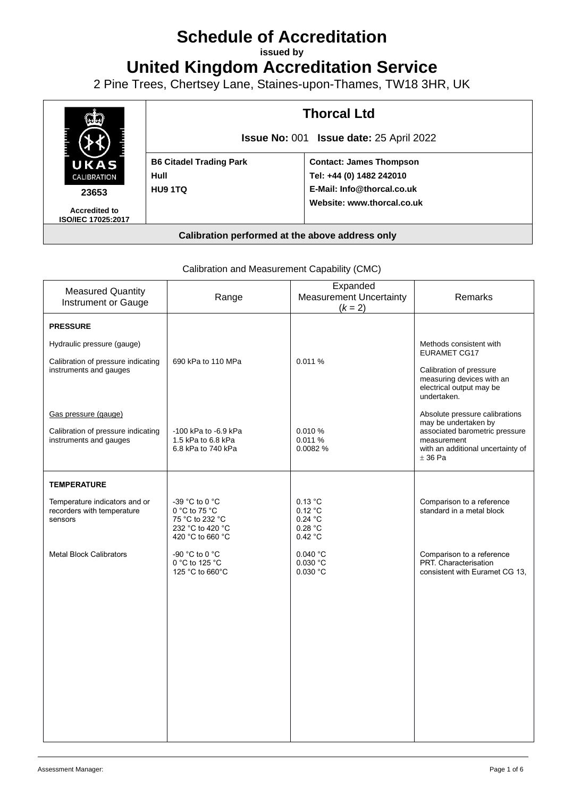# **Schedule of Accreditation**

**issued by**

**United Kingdom Accreditation Service**

2 Pine Trees, Chertsey Lane, Staines-upon-Thames, TW18 3HR, UK



| <b>Measured Quantity</b><br>Instrument or Gauge                                                                                | Range                                                                                                                                                  | Expanded<br><b>Measurement Uncertainty</b><br>$(k = 2)$                                 | Remarks                                                                                                                                                   |
|--------------------------------------------------------------------------------------------------------------------------------|--------------------------------------------------------------------------------------------------------------------------------------------------------|-----------------------------------------------------------------------------------------|-----------------------------------------------------------------------------------------------------------------------------------------------------------|
| <b>PRESSURE</b><br>Hydraulic pressure (gauge)<br>Calibration of pressure indicating<br>instruments and gauges                  | 690 kPa to 110 MPa                                                                                                                                     | 0.011%                                                                                  | Methods consistent with<br><b>EURAMET CG17</b><br>Calibration of pressure<br>measuring devices with an<br>electrical output may be<br>undertaken.         |
| Gas pressure (gauge)<br>Calibration of pressure indicating<br>instruments and gauges                                           | -100 kPa to -6.9 kPa<br>1.5 kPa to 6.8 kPa<br>6.8 kPa to 740 kPa                                                                                       | 0.010 %<br>0.011%<br>0.0082 %                                                           | Absolute pressure calibrations<br>may be undertaken by<br>associated barometric pressure<br>measurement<br>with an additional uncertainty of<br>$± 36$ Pa |
| <b>TEMPERATURE</b><br>Temperature indicators and or<br>recorders with temperature<br>sensors<br><b>Metal Block Calibrators</b> | -39 °C to 0 °C<br>$0 °C$ to 75 $°C$<br>75 °C to 232 °C<br>232 °C to 420 °C<br>420 °C to 660 °C<br>-90 °C to 0 °C<br>0 °C to 125 °C<br>125 °C to 660 °C | 0.13 °C<br>0.12 °C<br>0.24 °C<br>0.28 °C<br>0.42 °C<br>0.040 °C<br>0.030 °C<br>0.030 °C | Comparison to a reference<br>standard in a metal block<br>Comparison to a reference<br>PRT. Characterisation<br>consistent with Euramet CG 13,            |
|                                                                                                                                |                                                                                                                                                        |                                                                                         |                                                                                                                                                           |

## Calibration and Measurement Capability (CMC)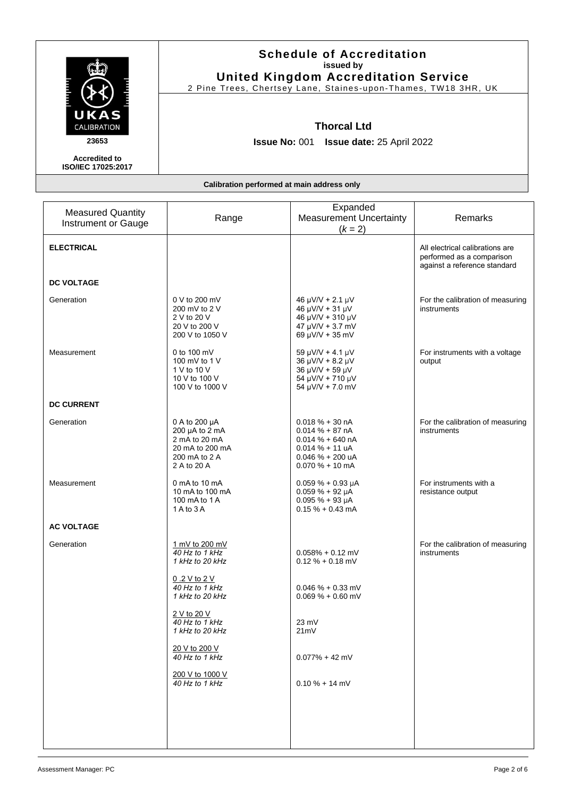|                                                   | <b>Schedule of Accreditation</b><br>issued by                  |  |
|---------------------------------------------------|----------------------------------------------------------------|--|
|                                                   | <b>United Kingdom Accreditation Service</b>                    |  |
|                                                   | 2 Pine Trees, Chertsey Lane, Staines-upon-Thames, TW18 3HR, UK |  |
|                                                   |                                                                |  |
| UKAS                                              |                                                                |  |
| CALIBRATION                                       | <b>Thorcal Ltd</b>                                             |  |
| 23653                                             | <b>Issue No: 001</b><br><b>Issue date: 25 April 2022</b>       |  |
| <b>Accredited to</b><br><b>ISO/IEC 17025:2017</b> |                                                                |  |
| Calibration performed at main address only        |                                                                |  |

| <b>Measured Quantity</b><br>Instrument or Gauge | Range                                                                                               | Expanded<br><b>Measurement Uncertainty</b><br>$(k = 2)$                                                                       | Remarks                                                                                      |
|-------------------------------------------------|-----------------------------------------------------------------------------------------------------|-------------------------------------------------------------------------------------------------------------------------------|----------------------------------------------------------------------------------------------|
| <b>ELECTRICAL</b>                               |                                                                                                     |                                                                                                                               | All electrical calibrations are<br>performed as a comparison<br>against a reference standard |
| <b>DC VOLTAGE</b>                               |                                                                                                     |                                                                                                                               |                                                                                              |
| Generation                                      | 0 V to 200 mV<br>200 mV to 2 V<br>2 V to 20 V<br>20 V to 200 V<br>200 V to 1050 V                   | 46 µV/V + 2.1 µV<br>46 µV/V + 31 µV<br>46 µV/V + 310 µV<br>$47 \mu$ V/V + 3.7 mV<br>69 µV/V + 35 mV                           | For the calibration of measuring<br>instruments                                              |
| Measurement                                     | 0 to 100 mV<br>100 mV to 1 V<br>1 V to 10 V<br>10 V to 100 V<br>100 V to 1000 V                     | 59 µV/V + 4.1 µV<br>36 µV/V + 8.2 µV<br>36 µV/V + 59 µV<br>54 µV/V + 710 µV<br>54 µV/V + 7.0 mV                               | For instruments with a voltage<br>output                                                     |
| <b>DC CURRENT</b>                               |                                                                                                     |                                                                                                                               |                                                                                              |
| Generation                                      | 0 A to 200 µA<br>200 µA to 2 mA<br>2 mA to 20 mA<br>20 mA to 200 mA<br>200 mA to 2 A<br>2 A to 20 A | $0.018 \% + 30 nA$<br>$0.014 \% + 87 nA$<br>$0.014% + 640$ nA<br>$0.014 \% + 11 uA$<br>$0.046 \% + 200$ uA<br>$0.070% + 10mA$ | For the calibration of measuring<br>instruments                                              |
| Measurement                                     | 0 mA to 10 mA<br>10 mA to 100 mA<br>100 mA to 1 A<br>1 A to 3 A                                     | $0.059 \% + 0.93 \mu A$<br>$0.059 \% + 92 \mu A$<br>$0.095 \% + 93 \mu A$<br>$0.15% + 0.43$ mA                                | For instruments with a<br>resistance output                                                  |
| <b>AC VOLTAGE</b>                               |                                                                                                     |                                                                                                                               |                                                                                              |
| Generation                                      | 1 mV to 200 mV<br>40 Hz to 1 kHz<br>1 kHz to 20 kHz                                                 | $0.058\% + 0.12$ mV<br>$0.12 \% + 0.18$ mV                                                                                    | For the calibration of measuring<br>instruments                                              |
|                                                 | 0.2 V to 2 V<br>40 Hz to 1 kHz<br>1 kHz to 20 kHz                                                   | $0.046 % + 0.33 mV$<br>$0.069 \% + 0.60$ mV                                                                                   |                                                                                              |
|                                                 | 2 V to 20 V<br>$\overline{40}$ Hz to 1 kHz<br>1 kHz to 20 kHz                                       | 23 mV<br>21mV                                                                                                                 |                                                                                              |
|                                                 | 20 V to 200 V<br>40 Hz to 1 kHz                                                                     | $0.077\% + 42$ mV                                                                                                             |                                                                                              |
|                                                 | 200 V to 1000 V<br>40 Hz to 1 kHz                                                                   | $0.10 \% + 14$ mV                                                                                                             |                                                                                              |
|                                                 |                                                                                                     |                                                                                                                               |                                                                                              |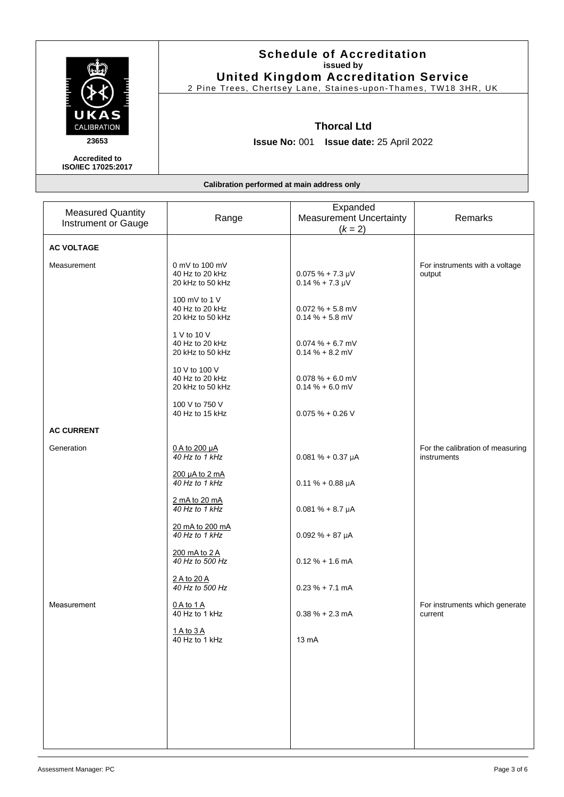|                                            | <b>Schedule of Accreditation</b><br>issued by                                                                 |  |  |
|--------------------------------------------|---------------------------------------------------------------------------------------------------------------|--|--|
|                                            | <b>United Kingdom Accreditation Service</b><br>2 Pine Trees, Chertsey Lane, Staines-upon-Thames, TW18 3HR, UK |  |  |
|                                            |                                                                                                               |  |  |
| UKAS<br>CALIBRATION                        | <b>Thorcal Ltd</b>                                                                                            |  |  |
| 23653                                      | Issue No: 001 Issue date: 25 April 2022                                                                       |  |  |
| <b>Accredited to</b><br>ISO/IEC 17025:2017 |                                                                                                               |  |  |
| Calibration performed at main address only |                                                                                                               |  |  |

T

| <b>Measured Quantity</b><br>Instrument or Gauge | Range                                                 | Expanded<br><b>Measurement Uncertainty</b><br>$(k = 2)$ | Remarks                                         |
|-------------------------------------------------|-------------------------------------------------------|---------------------------------------------------------|-------------------------------------------------|
| <b>AC VOLTAGE</b>                               |                                                       |                                                         |                                                 |
| Measurement                                     | 0 mV to 100 mV<br>40 Hz to 20 kHz<br>20 kHz to 50 kHz | $0.075 \% + 7.3 \mu V$<br>$0.14 \% + 7.3 \mu V$         | For instruments with a voltage<br>output        |
|                                                 | 100 mV to 1 V<br>40 Hz to 20 kHz<br>20 kHz to 50 kHz  | $0.072 \% + 5.8$ mV<br>$0.14\% + 5.8$ mV                |                                                 |
|                                                 | 1 V to 10 V<br>40 Hz to 20 kHz<br>20 kHz to 50 kHz    | $0.074 \% + 6.7$ mV<br>$0.14 \% + 8.2$ mV               |                                                 |
|                                                 | 10 V to 100 V<br>40 Hz to 20 kHz<br>20 kHz to 50 kHz  | $0.078 \% + 6.0 mV$<br>$0.14 \% + 6.0 mV$               |                                                 |
|                                                 | 100 V to 750 V<br>40 Hz to 15 kHz                     | $0.075 \% + 0.26 V$                                     |                                                 |
| <b>AC CURRENT</b>                               |                                                       |                                                         |                                                 |
| Generation                                      | 0 A to 200 µA<br>$\frac{1}{40}$ Hz to 1 kHz           | $0.081 \% + 0.37 \mu A$                                 | For the calibration of measuring<br>instruments |
|                                                 | 200 µA to 2 mA<br>40 Hz to 1 kHz                      | $0.11 \% + 0.88 \mu A$                                  |                                                 |
|                                                 | 2 mA to 20 mA<br>40 Hz to 1 kHz                       | $0.081 \% + 8.7 \mu A$                                  |                                                 |
|                                                 | 20 mA to 200 mA<br>40 Hz to 1 kHz                     | $0.092 \% + 87 \mu A$                                   |                                                 |
|                                                 | 200 mA to 2 A<br>40 Hz to 500 Hz                      | $0.12 \% + 1.6 mA$                                      |                                                 |
|                                                 | 2 A to 20 A<br>40 Hz to 500 Hz                        | $0.23 \% + 7.1 mA$                                      |                                                 |
| Measurement                                     | <u>0 A to 1 A</u><br>40 Hz to 1 kHz                   | $0.38 \% + 2.3 mA$                                      | For instruments which generate<br>current       |
|                                                 | $1A$ to $3A$<br>40 Hz to 1 kHz                        | 13 mA                                                   |                                                 |
|                                                 |                                                       |                                                         |                                                 |
|                                                 |                                                       |                                                         |                                                 |
|                                                 |                                                       |                                                         |                                                 |
|                                                 |                                                       |                                                         |                                                 |
|                                                 |                                                       |                                                         |                                                 |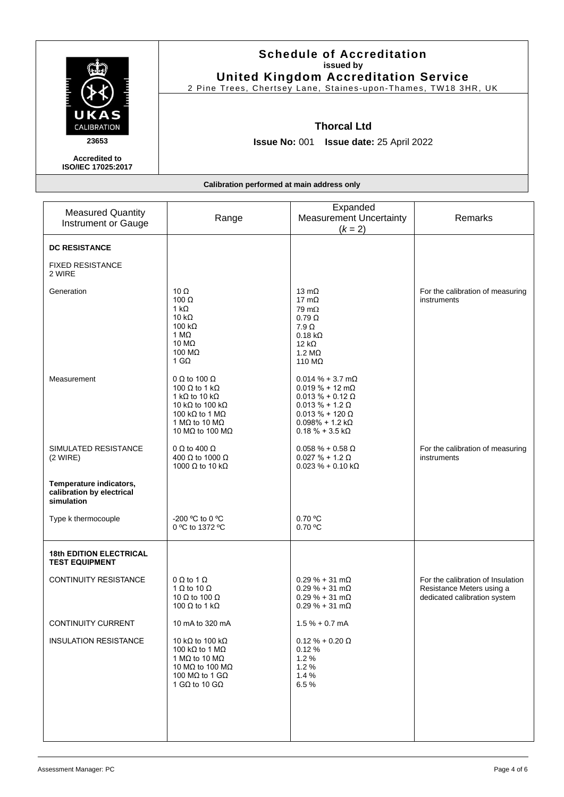| <u>in dia kal</u> | K     | CALIBRATION | E |
|-------------------|-------|-------------|---|
|                   | 23653 |             |   |

**Accredited to ISO/IEC 17025:2017**

# **Schedule of Accreditation issued by United Kingdom Accreditation Service**

2 Pine Trees, Chertsey Lane, Staines -upon -Thames, TW18 3HR, UK

## **Thorcal Ltd**

**Issue No:** 001 **Issue date:** 25 April 2022

**Calibration performed at main address only**

| <b>Measured Quantity</b><br>Instrument or Gauge                    | Range                                                                                                                                                                                                                | Expanded<br><b>Measurement Uncertainty</b><br>$(k = 2)$                                                                                                                                             | Remarks                                                                                        |
|--------------------------------------------------------------------|----------------------------------------------------------------------------------------------------------------------------------------------------------------------------------------------------------------------|-----------------------------------------------------------------------------------------------------------------------------------------------------------------------------------------------------|------------------------------------------------------------------------------------------------|
| <b>DC RESISTANCE</b>                                               |                                                                                                                                                                                                                      |                                                                                                                                                                                                     |                                                                                                |
| <b>FIXED RESISTANCE</b><br>2 WIRE                                  |                                                                                                                                                                                                                      |                                                                                                                                                                                                     |                                                                                                |
| Generation                                                         | 10 $\Omega$<br>100 $\Omega$<br>1 k $\Omega$<br>$10 k\Omega$<br>$100 k\Omega$<br>1 M $\Omega$<br>10 $M\Omega$<br>100 M $\Omega$<br>1 G $\Omega$                                                                       | 13 $m\Omega$<br>17 $m\Omega$<br>79 $m\Omega$<br>$0.79\ \Omega$<br>$7.9\Omega$<br>$0.18 k\Omega$<br>$12 k\Omega$<br>1.2 $M\Omega$<br>110 $M\Omega$                                                   | For the calibration of measuring<br>instruments                                                |
| Measurement                                                        | $0 \Omega$ to 100 $\Omega$<br>100 $\Omega$ to 1 k $\Omega$<br>1 k $\Omega$ to 10 k $\Omega$<br>10 k $\Omega$ to 100 k $\Omega$<br>100 k $\Omega$ to 1 M $\Omega$<br>1 MQ to 10 MQ<br>10 M $\Omega$ to 100 M $\Omega$ | $0.014 \% + 3.7 m\Omega$<br>$0.019 \% + 12 m\Omega$<br>$0.013 \% + 0.12 \Omega$<br>$0.013 \% + 1.2 \Omega$<br>$0.013 \% + 120 \Omega$<br>$0.098\% + 1.2 \text{ k}\Omega$<br>$0.18 \% + 3.5 k\Omega$ |                                                                                                |
| SIMULATED RESISTANCE<br>$(2$ WIRE)                                 | $0 \Omega$ to 400 $\Omega$<br>400 $\Omega$ to 1000 $\Omega$<br>1000 $\Omega$ to 10 k $\Omega$                                                                                                                        | $0.058~\%$ + $0.58~\Omega$<br>$0.027 \% + 1.2 \Omega$<br>$0.023 \% + 0.10 K\Omega$                                                                                                                  | For the calibration of measuring<br>instruments                                                |
| Temperature indicators,<br>calibration by electrical<br>simulation |                                                                                                                                                                                                                      |                                                                                                                                                                                                     |                                                                                                |
| Type k thermocouple                                                | -200 °C to 0 °C<br>0 °C to 1372 °C                                                                                                                                                                                   | 0.70 °C<br>0.70 °C                                                                                                                                                                                  |                                                                                                |
| <b>18th EDITION ELECTRICAL</b><br><b>TEST EQUIPMENT</b>            |                                                                                                                                                                                                                      |                                                                                                                                                                                                     |                                                                                                |
| <b>CONTINUITY RESISTANCE</b>                                       | $0 \Omega$ to 1 $\Omega$<br>1 $\Omega$ to 10 $\Omega$<br>10 $\Omega$ to 100 $\Omega$<br>100 $\Omega$ to 1 k $\Omega$                                                                                                 | $0.29 \% + 31 m\Omega$<br>$0.29 \% + 31 m\Omega$<br>$0.29 \% + 31 m\Omega$<br>$0.29 \% + 31 m\Omega$                                                                                                | For the calibration of Insulation<br>Resistance Meters using a<br>dedicated calibration system |
| CONTINUITY CURRENT                                                 | 10 mA to 320 mA                                                                                                                                                                                                      | $1.5% + 0.7$ mA                                                                                                                                                                                     |                                                                                                |
| <b>INSULATION RESISTANCE</b>                                       | 10 k $\Omega$ to 100 k $\Omega$<br>100 k $\Omega$ to 1 M $\Omega$<br>1 MQ to 10 MQ<br>10 M $\Omega$ to 100 M $\Omega$<br>100 M $\Omega$ to 1 G $\Omega$<br>1 G $\Omega$ to 10 G $\Omega$                             | $0.12 \% + 0.20 \Omega$<br>0.12%<br>1.2%<br>1.2%<br>1.4%<br>6.5%                                                                                                                                    |                                                                                                |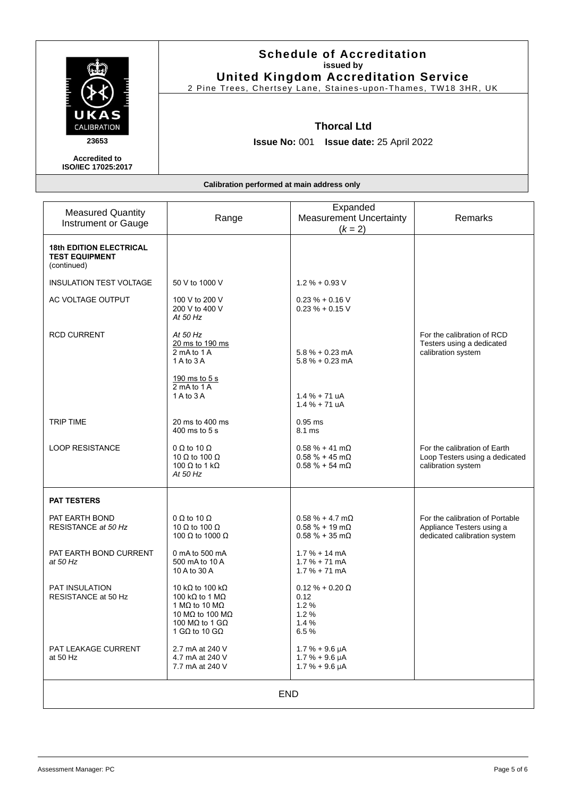| <u>i ka ma</u> | KZ<br>CALIBRATION | Ē |
|----------------|-------------------|---|
|                | 23653             |   |

**Accredited to ISO/IEC 17025:2017**

# **Schedule of Accreditation issued by United Kingdom Accreditation Service**

2 Pine Trees, Chertsey Lane, Staines -upon -Thames, TW18 3HR, UK

### **Thorcal Ltd**

**Issue No:** 001 **Issue date:** 25 April 2022

**Calibration performed at main address only**

| <b>Measured Quantity</b><br>Instrument or Gauge                        | Range                                                                                                                                                                                    | Expanded<br><b>Measurement Uncertainty</b><br>$(k = 2)$                     | Remarks                                                                                      |
|------------------------------------------------------------------------|------------------------------------------------------------------------------------------------------------------------------------------------------------------------------------------|-----------------------------------------------------------------------------|----------------------------------------------------------------------------------------------|
| <b>18th EDITION ELECTRICAL</b><br><b>TEST EQUIPMENT</b><br>(continued) |                                                                                                                                                                                          |                                                                             |                                                                                              |
| <b>INSULATION TEST VOLTAGE</b>                                         | 50 V to 1000 V                                                                                                                                                                           | $1.2 \% + 0.93 V$                                                           |                                                                                              |
| AC VOLTAGE OUTPUT                                                      | 100 V to 200 V<br>200 V to 400 V<br>At 50 Hz                                                                                                                                             | $0.23 \% + 0.16 V$<br>$0.23 \% + 0.15 V$                                    |                                                                                              |
| <b>RCD CURRENT</b>                                                     | At 50 Hz<br>20 ms to 190 ms<br>2 mA to 1A<br>1 A to 3 A                                                                                                                                  | $5.8% + 0.23$ mA<br>$5.8\% + 0.23 \text{ mA}$                               | For the calibration of RCD<br>Testers using a dedicated<br>calibration system                |
|                                                                        | 190 ms to 5 s<br>2 mA to 1 A<br>1 A to 3 A                                                                                                                                               | $1.4% + 71 uA$<br>$1.4 \% + 71 uA$                                          |                                                                                              |
| <b>TRIP TIME</b>                                                       | 20 ms to 400 ms<br>400 ms to 5 s                                                                                                                                                         | $0.95$ ms<br>8.1 ms                                                         |                                                                                              |
| <b>LOOP RESISTANCE</b>                                                 | $0 \Omega$ to 10 $\Omega$<br>10 $\Omega$ to 100 $\Omega$<br>100 $\Omega$ to 1 k $\Omega$<br>At 50 Hz                                                                                     | $0.58 \% + 41 m\Omega$<br>$0.58 \% + 45 m\Omega$<br>$0.58 \% + 54 m\Omega$  | For the calibration of Earth<br>Loop Testers using a dedicated<br>calibration system         |
| <b>PAT TESTERS</b>                                                     |                                                                                                                                                                                          |                                                                             |                                                                                              |
| PAT EARTH BOND<br>RESISTANCE at 50 Hz                                  | $0 \Omega$ to 10 $\Omega$<br>10 $\Omega$ to 100 $\Omega$<br>100 $\Omega$ to 1000 $\Omega$                                                                                                | $0.58 \% + 4.7 m\Omega$<br>$0.58 \% + 19 m\Omega$<br>$0.58 \% + 35 m\Omega$ | For the calibration of Portable<br>Appliance Testers using a<br>dedicated calibration system |
| PAT EARTH BOND CURRENT<br>at 50 Hz                                     | 0 mA to 500 mA<br>500 mA to 10 A<br>10 A to 30 A                                                                                                                                         | $1.7% + 14 mA$<br>$1.7% + 71$ mA<br>$1.7% + 71$ mA                          |                                                                                              |
| PAT INSULATION<br>RESISTANCE at 50 Hz                                  | 10 k $\Omega$ to 100 k $\Omega$<br>100 k $\Omega$ to 1 M $\Omega$<br>1 MQ to 10 MQ<br>10 M $\Omega$ to 100 M $\Omega$<br>100 M $\Omega$ to 1 G $\Omega$<br>1 G $\Omega$ to 10 G $\Omega$ | $0.12 \% + 0.20 \Omega$<br>0.12<br>1.2%<br>1.2%<br>1.4%<br>6.5%             |                                                                                              |
| PAT LEAKAGE CURRENT<br>at 50 Hz                                        | 2.7 mA at 240 V<br>4.7 mA at 240 V<br>7.7 mA at 240 V                                                                                                                                    | $1.7% + 9.6 \mu A$<br>$1.7% + 9.6 \mu A$<br>$1.7% + 9.6 \mu A$              |                                                                                              |
| <b>END</b>                                                             |                                                                                                                                                                                          |                                                                             |                                                                                              |